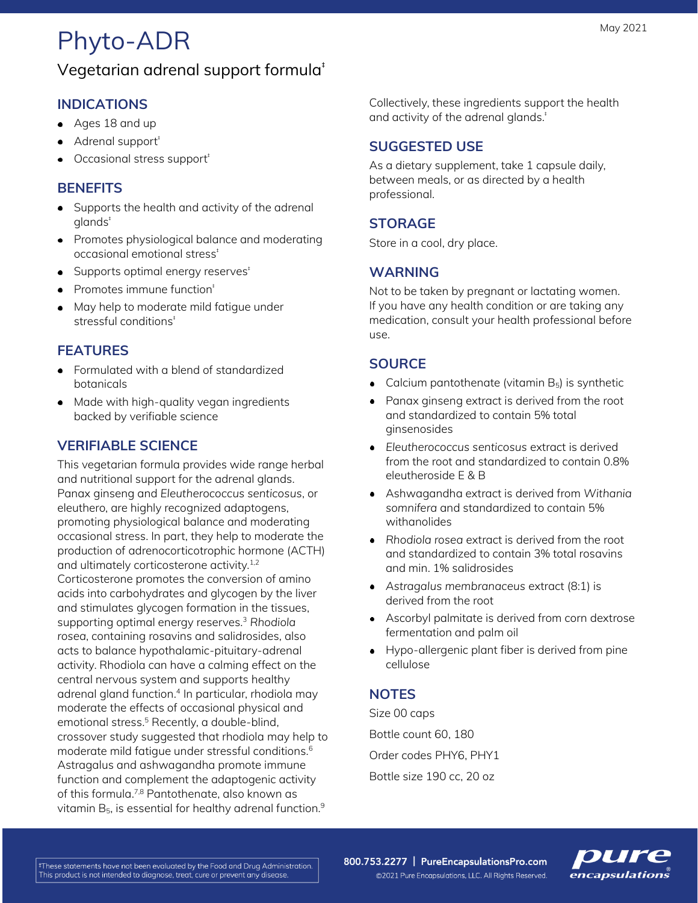# Phyto-ADR

## Vegetarian adrenal support formula‡

### **INDICATIONS**

- Ages 18 and up
- Adrenal support<sup>‡</sup>
- Occasional stress support<sup>+</sup>

#### **BENEFITS**

- Supports the health and activity of the adrenal glands‡
- Promotes physiological balance and moderating occasional emotional stress‡
- $\bullet$  Supports optimal energy reserves<sup> $\dagger$ </sup>
- Promotes immune function‡
- May help to moderate mild fatigue under stressful conditions<sup>®</sup>

#### **FEATURES**

- Formulated with a blend of standardized botanicals
- Made with high-quality vegan ingredients backed by verifiable science

### **VERIFIABLE SCIENCE**

This vegetarian formula provides wide range herbal and nutritional support for the adrenal glands. Panax ginseng and *Eleutherococcus senticosus*, or eleuthero, are highly recognized adaptogens, promoting physiological balance and moderating occasional stress. In part, they help to moderate the production of adrenocorticotrophic hormone (ACTH) and ultimately corticosterone activity.<sup>1,2</sup> Corticosterone promotes the conversion of amino acids into carbohydrates and glycogen by the liver and stimulates glycogen formation in the tissues, supporting optimal energy reserves.<sup>3</sup> *Rhodiola rosea*, containing rosavins and salidrosides, also acts to balance hypothalamic-pituitary-adrenal activity. Rhodiola can have a calming effect on the central nervous system and supports healthy adrenal gland function.<sup>4</sup> In particular, rhodiola may moderate the effects of occasional physical and emotional stress.<sup>5</sup> Recently, a double-blind, crossover study suggested that rhodiola may help to moderate mild fatigue under stressful conditions.<sup>6</sup> Astragalus and ashwagandha promote immune function and complement the adaptogenic activity of this formula.7,8 Pantothenate, also known as vitamin  $\mathsf{B}_5$ , is essential for healthy adrenal function. $^9$ 

Collectively, these ingredients support the health and activity of the adrenal glands.<sup>#</sup>

#### **SUGGESTED USE**

As a dietary supplement, take 1 capsule daily, between meals, or as directed by a health professional.

#### **STORAGE**

Store in a cool, dry place.

#### **WARNING**

Not to be taken by pregnant or lactating women. If you have any health condition or are taking any medication, consult your health professional before use.

#### **SOURCE**

- Calcium pantothenate (vitamin  $B_5$ ) is synthetic
- Panax ginseng extract is derived from the root and standardized to contain 5% total ginsenosides
- *Eleutherococcus senticosus* extract is derived from the root and standardized to contain 0.8% eleutheroside E & B
- Ashwagandha extract is derived from *Withania somnifera* and standardized to contain 5% withanolides
- *Rhodiola rosea* extract is derived from the root and standardized to contain 3% total rosavins and min. 1% salidrosides
- *Astragalus membranaceus* extract (8:1) is derived from the root
- Ascorbyl palmitate is derived from corn dextrose fermentation and palm oil
- Hypo-allergenic plant fiber is derived from pine cellulose

#### **NOTES**

Size 00 caps Bottle count 60, 180 Order codes PHY6, PHY1 Bottle size 190 cc, 20 oz

‡These statements have not been evaluated by the Food and Drug Administration. This product is not intended to diagnose, treat, cure or prevent any disease.

800.753.2277 | PureEncapsulationsPro.com ©2021 Pure Encapsulations, LLC. All Rights Reserved.